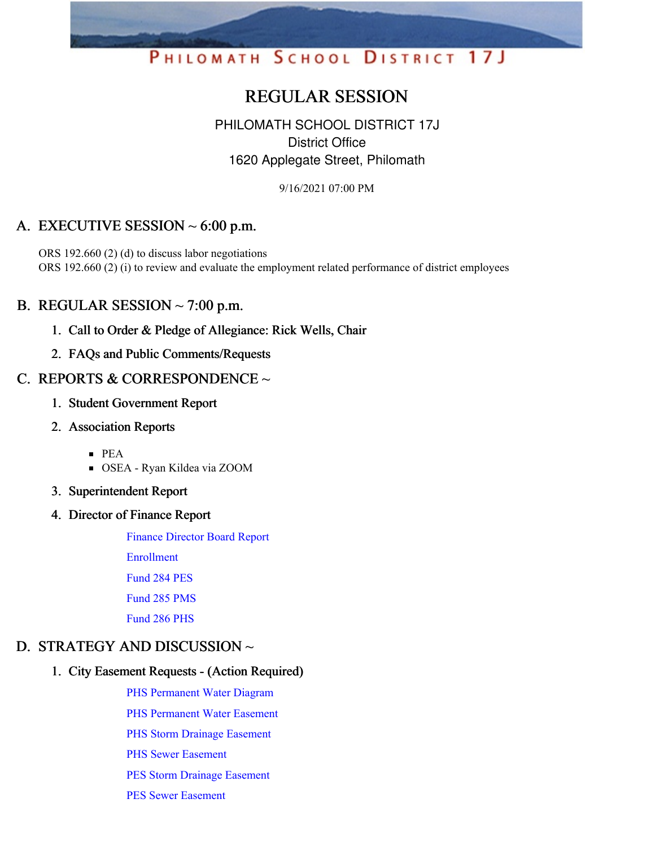# PHILOMATH SCHOOL DISTRICT 17J

# REGULAR SESSION

# PHILOMATH SCHOOL DISTRICT 17J District Office 1620 Applegate Street, Philomath

9/16/2021 07:00 PM

# A. EXECUTIVE SESSION  $\sim$  6:00 p.m.

ORS 192.660 (2) (d) to discuss labor negotiations ORS 192.660 (2) (i) to review and evaluate the employment related performance of district employees

#### B. REGULAR SESSION  $\sim$  7:00 p.m.

- 1. Call to Order & Pledge of Allegiance: Rick Wells, Chair
- 2. FAQs and Public Comments/Requests

#### C. REPORTS & CORRESPONDENCE  $\sim$

- 1. Student Government Report
- 2. Association Reports
	- PEA
	- OSEA Ryan Kildea via ZOOM
- 3. Superintendent Report
- 4. Director of Finance Report

Finance [Director](https://app.eduportal.com/documents/view/807528) Board Report

[Enrollment](https://app.eduportal.com/documents/view/807575)

[Fund](https://app.eduportal.com/documents/view/807526) 284 PES

[Fund](https://app.eduportal.com/documents/view/807524) 285 PMS

[Fund](https://app.eduportal.com/documents/view/807525) 286 PHS

#### D. STRATEGY AND DISCUSSION  $\sim$

#### 1. City Easement Requests - (Action Required)

PHS [Permanent](https://app.eduportal.com/documents/view/807561) Water Diagram

PHS [Permanent](https://app.eduportal.com/documents/view/807559) Water Easement

PHS Storm Drainage [Easement](https://app.eduportal.com/documents/view/807564)

PHS Sewer [Easement](https://app.eduportal.com/documents/view/807562)

PES Storm Drainage [Easement](https://app.eduportal.com/documents/view/807558)

PES Sewer [Easement](https://app.eduportal.com/documents/view/807557)